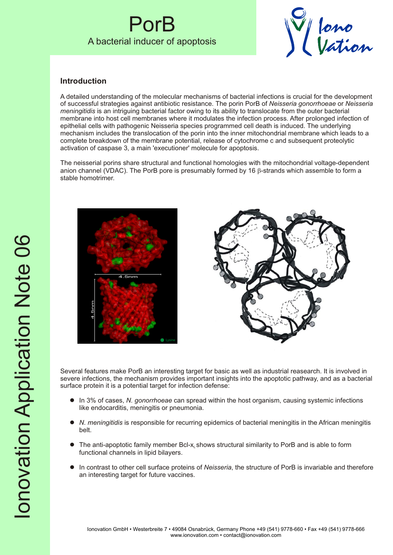## PorB A bacterial inducer of apoptosis



## **Introduction**

A detailed understanding of the molecular mechanisms of bacterial infections is crucial for the development of successful strategies against antibiotic resistance. The porin PorB of *Neisseria gonorrhoeae* or *Neisseria meningitidis* is an intriguing bacterial factor owing to its ability to translocate from the outer bacterial membrane into host cell membranes where it modulates the infection process. After prolonged infection of epithelial cells with pathogenic Neisseria species programmed cell death is induced. The underlying mechanism includes the translocation of the porin into the inner mitochondrial membrane which leads to a complete breakdown of the membrane potential, release of cytochrome c and subsequent proteolytic activation of caspase 3, a main 'executioner' molecule for apoptosis.

The neisserial porins share structural and functional homologies with the mitochondrial voltage-dependent anion channel (VDAC). The PorB pore is presumably formed by 16 b-strands which assemble to form a stable homotrimer.





Several features make PorB an interesting target for basic as well as industrial reasearch. It is involved in severe infections, the mechanism provides important insights into the apoptotic pathway, and as a bacterial surface protein it is a potential target for infection defense:

- l In 3% of cases, *N. gonorrhoeae* can spread within the host organism, causing systemic infections like endocarditis, meningitis or pneumonia.
- l *N. meningitidis* is responsible for recurring epidemics of bacterial meningitis in the African meningitis belt.
- $\bullet$  The anti-apoptotic family member Bcl-x<sub>L</sub> shows structural similarity to PorB and is able to form functional channels in lipid bilayers.
- l In contrast to other cell surface proteins of *Neisseria*, the structure of PorB is invariable and therefore an interesting target for future vaccines.